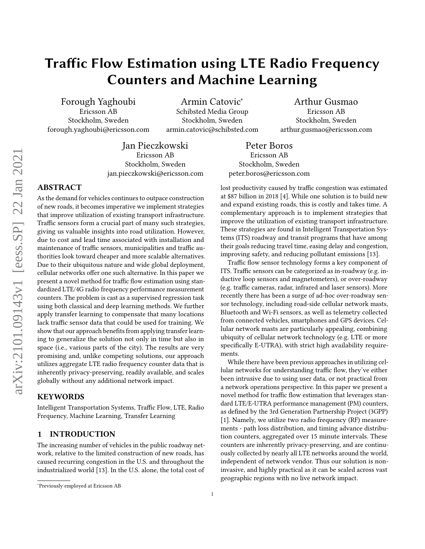# Traffic Flow Estimation using LTE Radio Frequency Counters and Machine Learning

Forough Yaghoubi Ericsson AB Stockholm, Sweden forough.yaghoubi@ericsson.com

Armin Catovic<sup>∗</sup> Schibsted Media Group Stockholm, Sweden armin.catovic@schibsted.com

Arthur Gusmao Ericsson AB Stockholm, Sweden arthur.gusmao@ericsson.com

Jan Pieczkowski Ericsson AB Stockholm, Sweden jan.pieczkowski@ericsson.com

# ABSTRACT

As the demand for vehicles continues to outpace construction of new roads, it becomes imperative we implement strategies that improve utilization of existing transport infrastructure. Traffic sensors form a crucial part of many such strategies, giving us valuable insights into road utilization. However, due to cost and lead time associated with installation and maintenance of traffic sensors, municipalities and traffic authorities look toward cheaper and more scalable alternatives. Due to their ubiquitous nature and wide global deployment, cellular networks offer one such alternative. In this paper we present a novel method for traffic flow estimation using standardized LTE/4G radio frequency performance measurement counters. The problem is cast as a supervised regression task using both classical and deep learning methods. We further apply transfer learning to compensate that many locations lack traffic sensor data that could be used for training. We show that our approach benefits from applying transfer learning to generalize the solution not only in time but also in space (i.e., various parts of the city). The results are very promising and, unlike competing solutions, our approach utilizes aggregate LTE radio frequency counter data that is inherently privacy-preserving, readily available, and scales globally without any additional network impact.

## KEYWORDS

Intelligent Transportation Systems, Traffic Flow, LTE, Radio Frequency, Machine Learning, Transfer Learning

# 1 INTRODUCTION

The increasing number of vehicles in the public roadway network, relative to the limited construction of new roads, has caused recurring congestion in the U.S. and throughout the industrialized world [\[13\]](#page-8-0). In the U.S. alone, the total cost of

Peter Boros Ericsson AB Stockholm, Sweden peter.boros@ericsson.com

lost productivity caused by traffic congestion was estimated at \$87 billion in 2018 [\[4\]](#page-8-1). While one solution is to build new and expand existing roads, this is costly and takes time. A complementary approach is to implement strategies that improve the utilization of existing transport infrastructure. These strategies are found in Intelligent Transportation Systems (ITS) roadway and transit programs that have among their goals reducing travel time, easing delay and congestion, improving safety, and reducing pollutant emissions [\[13\]](#page-8-0).

Traffic flow sensor technology forms a key component of ITS. Traffic sensors can be categorized as in-roadway (e.g. inductive loop sensors and magnetometers), or over-roadway (e.g. traffic cameras, radar, infrared and laser sensors). More recently there has been a surge of ad-hoc over-roadway sensor technology, including road-side cellular network masts, Bluetooth and Wi-Fi sensors, as well as telemetry collected from connected vehicles, smartphones and GPS devices. Cellular network masts are particularly appealing, combining ubiquity of cellular network technology (e.g. LTE or more specifically E-UTRA), with strict high availability requirements.

While there have been previous approaches in utilizing cellular networks for understanding traffic flow, they've either been intrusive due to using user data, or not practical from a network operations perspective. In this paper we present a novel method for traffic flow estimation that leverages standard LTE/E-UTRA performance management (PM) counters, as defined by the 3rd Generation Partnership Project (3GPP) [\[1\]](#page-8-2). Namely, we utilize two radio frequency (RF) measurements - path loss distribution, and timing advance distribution counters, aggregated over 15 minute intervals. These counters are inherently privacy-preserving, and are continuously collected by nearly all LTE networks around the world, independent of network vendor. Thus our solution is noninvasive, and highly practical as it can be scaled across vast geographic regions with no live network impact.

<sup>∗</sup>Previously employed at Ericsson AB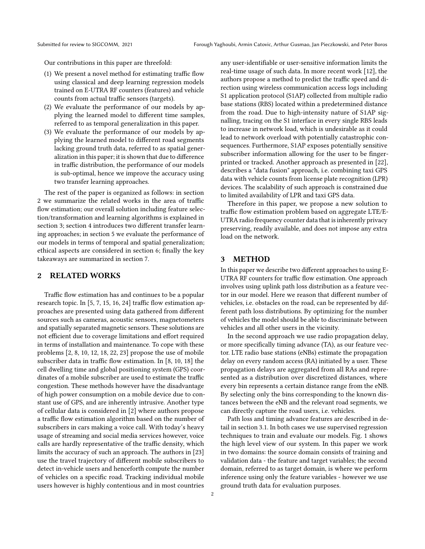Our contributions in this paper are threefold:

- (1) We present a novel method for estimating traffic flow using classical and deep learning regression models trained on E-UTRA RF counters (features) and vehicle counts from actual traffic sensors (targets).
- (2) We evaluate the performance of our models by applying the learned model to different time samples, referred to as temporal generalization in this paper.
- (3) We evaluate the performance of our models by applying the learned model to different road segments lacking ground truth data, referred to as spatial generalization in this paper; it is shown that due to difference in traffic distribution, the performance of our models is sub-optimal, hence we improve the accuracy using two transfer learning approaches.

The rest of the paper is organized as follows: in section [2](#page-1-0) we summarize the related works in the area of traffic flow estimation; our overall solution including feature selection/transformation and learning algorithms is explained in section [3;](#page-1-1) section [4](#page-3-0) introduces two different transfer learning approaches; in section [5](#page-5-0) we evaluate the performance of our models in terms of temporal and spatial generalization; ethical aspects are considered in section [6;](#page-7-0) finally the key takeaways are summarized in section [7.](#page-7-1)

# <span id="page-1-0"></span>2 RELATED WORKS

Traffic flow estimation has and continues to be a popular research topic. In [\[5,](#page-8-3) [7,](#page-8-4) [15,](#page-8-5) [16,](#page-8-6) [24\]](#page-8-7) traffic flow estimation approaches are presented using data gathered from different sources such as cameras, acoustic sensors, magnetometers and spatially separated magnetic sensors. These solutions are not efficient due to coverage limitations and effort required in terms of installation and maintenance. To cope with these problems [\[2,](#page-8-8) [8,](#page-8-9) [10,](#page-8-10) [12,](#page-8-11) [18,](#page-8-12) [22,](#page-8-13) [23\]](#page-8-14) propose the use of mobile subscriber data in traffic flow estimation. In [\[8,](#page-8-9) [10,](#page-8-10) [18\]](#page-8-12) the cell dwelling time and global positioning system (GPS) coordinates of a mobile subscriber are used to estimate the traffic congestion. These methods however have the disadvantage of high power consumption on a mobile device due to constant use of GPS, and are inherently intrusive. Another type of cellular data is considered in [\[2\]](#page-8-8) where authors propose a traffic flow estimation algorithm based on the number of subscribers in cars making a voice call. With today's heavy usage of streaming and social media services however, voice calls are hardly representative of the traffic density, which limits the accuracy of such an approach. The authors in [\[23\]](#page-8-14) use the travel trajectory of different mobile subscribers to detect in-vehicle users and henceforth compute the number of vehicles on a specific road. Tracking individual mobile users however is highly contentious and in most countries

any user-identifiable or user-sensitive information limits the real-time usage of such data. In more recent work [\[12\]](#page-8-11), the authors propose a method to predict the traffic speed and direction using wireless communication access logs including S1 application protocol (S1AP) collected from multiple radio base stations (RBS) located within a predetermined distance from the road. Due to high-intensity nature of S1AP signalling, tracing on the S1 interface in every single RBS leads to increase in network load, which is undesirable as it could lead to network overload with potentially catastrophic consequences. Furthermore, S1AP exposes potentially sensitive subscriber information allowing for the user to be fingerprinted or tracked. Another approach as presented in [\[22\]](#page-8-13), describes a "data fusion" approach, i.e. combining taxi GPS data with vehicle counts from license plate recognition (LPR) devices. The scalability of such approach is constrained due to limited availability of LPR and taxi GPS data.

Therefore in this paper, we propose a new solution to traffic flow estimation problem based on aggregate LTE/E-UTRA radio frequency counter data that is inherently privacy preserving, readily available, and does not impose any extra load on the network.

## <span id="page-1-1"></span>3 METHOD

In this paper we describe two different approaches to using E-UTRA RF counters for traffic flow estimation. One approach involves using uplink path loss distribution as a feature vector in our model. Here we reason that different number of vehicles, i.e. obstacles on the road, can be represented by different path loss distributions. By optimizing for the number of vehicles the model should be able to discriminate between vehicles and all other users in the vicinity.

In the second approach we use radio propagation delay, or more specifically timing advance (TA), as our feature vector. LTE radio base stations (eNBs) estimate the propagation delay on every random access (RA) initiated by a user. These propagation delays are aggregated from all RAs and represented as a distribution over discretized distances, where every bin represents a certain distance range from the eNB. By selecting only the bins corresponding to the known distances between the eNB and the relevant road segments, we can directly capture the road users, i.e. vehicles.

Path loss and timing advance features are described in detail in section [3.1.](#page-2-0) In both cases we use supervised regression techniques to train and evaluate our models. Fig. [1](#page-2-1) shows the high level view of our system. In this paper we work in two domains: the source domain consists of training and validation data - the feature and target variables; the second domain, referred to as target domain, is where we perform inference using only the feature variables - however we use ground truth data for evaluation purposes.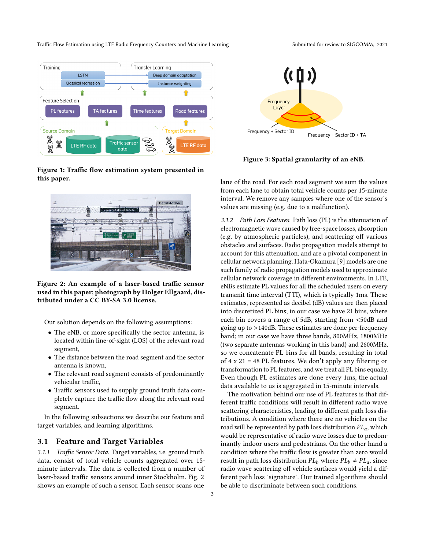Traffic Flow Estimation using LTE Radio Frequency Counters and Machine Learning Submitted for review to SIGCOMM, 2021

<span id="page-2-1"></span>

Figure 1: Traffic flow estimation system presented in this paper.

<span id="page-2-2"></span>

Figure 2: An example of a laser-based traffic sensor used in this paper; photograph by Holger Ellgaard, distributed under a CC BY-SA 3.0 license.

Our solution depends on the following assumptions:

- The eNB, or more specifically the sector antenna, is located within line-of-sight (LOS) of the relevant road segment,
- The distance between the road segment and the sector antenna is known,
- The relevant road segment consists of predominantly vehicular traffic,
- Traffic sensors used to supply ground truth data completely capture the traffic flow along the relevant road segment.

In the following subsections we describe our feature and target variables, and learning algorithms.

#### <span id="page-2-0"></span>3.1 Feature and Target Variables

3.1.1 Traffic Sensor Data. Target variables, i.e. ground truth data, consist of total vehicle counts aggregated over 15 minute intervals. The data is collected from a number of laser-based traffic sensors around inner Stockholm. Fig. [2](#page-2-2) shows an example of such a sensor. Each sensor scans one

<span id="page-2-3"></span>

Figure 3: Spatial granularity of an eNB.

lane of the road. For each road segment we sum the values from each lane to obtain total vehicle counts per 15-minute interval. We remove any samples where one of the sensor's values are missing (e.g. due to a malfunction).

3.1.2 Path Loss Features. Path loss (PL) is the attenuation of electromagnetic wave caused by free-space losses, absorption (e.g. by atmospheric particles), and scattering off various obstacles and surfaces. Radio propagation models attempt to account for this attenuation, and are a pivotal component in cellular network planning. Hata-Okamura [\[9\]](#page-8-15) models are one such family of radio propagation models used to approximate cellular network coverage in different environments. In LTE, eNBs estimate PL values for all the scheduled users on every transmit time interval (TTI), which is typically 1ms. These estimates, represented as decibel (dB) values are then placed into discretized PL bins; in our case we have 21 bins, where each bin covers a range of 5dB, starting from <50dB and going up to >140dB. These estimates are done per-frequency band; in our case we have three bands, 800MHz, 1800MHz (two separate antennas working in this band) and 2600MHz, so we concatenate PL bins for all bands, resulting in total of 4 x 21 = 48 PL features. We don't apply any filtering or transformation to PL features, and we treat all PL bins equally. Even though PL estimates are done every 1ms, the actual data available to us is aggregated in 15-minute intervals.

The motivation behind our use of PL features is that different traffic conditions will result in different radio wave scattering characteristics, leading to different path loss distributions. A condition where there are no vehicles on the road will be represented by path loss distribution  $PL_a$ , which would be representative of radio wave losses due to predominantly indoor users and pedestrians. On the other hand a condition where the traffic flow is greater than zero would result in path loss distribution  $PL_b$  where  $PL_b \neq PL_a$ , since radio wave scattering off vehicle surfaces would yield a different path loss "signature". Our trained algorithms should be able to discriminate between such conditions.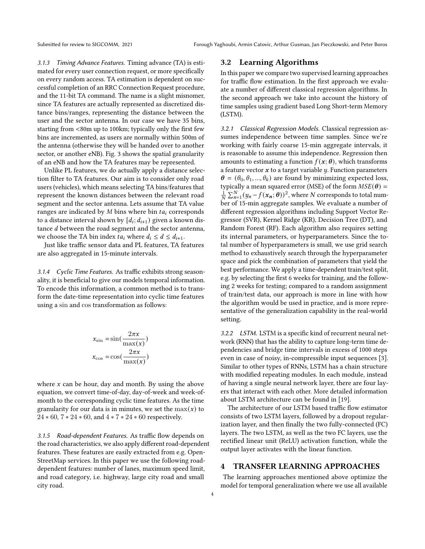3.1.3 Timing Advance Features. Timing advance (TA) is estimated for every user connection request, or more specifically on every random access. TA estimation is dependent on successful completion of an RRC Connection Request procedure, and the 11-bit TA command. The name is a slight misnomer, since TA features are actually represented as discretized distance bins/ranges, representing the distance between the user and the sector antenna. In our case we have 35 bins, starting from <80m up to 100km; typically only the first few bins are incremented, as users are normally within 500m of the antenna (otherwise they will be handed over to another sector, or another eNB). Fig. [3](#page-2-3) shows the spatial granularity of an eNB and how the TA features may be represented.

Unlike PL features, we do actually apply a distance selection filter to TA features. Our aim is to consider only road users (vehicles), which means selecting TA bins/features that represent the known distances between the relevant road segment and the sector antenna. Lets assume that TA value ranges are indicated by  $M$  bins where bin  $t a_i$  corresponds to a distance interval shown by  $[d_i; d_{i+1})$  given a known distance  $d$  between the road segment and the sector antenna, we choose the TA bin index  $ta_i$  where  $d_i \leq d \leq d_{i+1}$ .

Just like traffic sensor data and PL features, TA features are also aggregated in 15-minute intervals.

3.1.4 Cyclic Time Features. As traffic exhibits strong seasonality, it is beneficial to give our models temporal information. To encode this information, a common method is to transform the date-time representation into cyclic time features using a sin and cos transformation as follows:

$$
x_{\sin} = \sin(\frac{2\pi x}{\max(x)})
$$

$$
x_{\cos} = \cos(\frac{2\pi x}{\max(x)})
$$

where  $x$  can be hour, day and month. By using the above equation, we convert time-of-day, day-of-week and week-ofmonth to the corresponding cyclic time features. As the time granularity for our data is in minutes, we set the  $max(x)$  to 24 ∗ 60, 7 ∗ 24 ∗ 60, and 4 ∗ 7 ∗ 24 ∗ 60 respectively.

3.1.5 Road-dependent Features. As traffic flow depends on the road characteristics, we also apply different road-dependent features. These features are easily extracted from e.g. Open-StreetMap services. In this paper we use the following roaddependent features: number of lanes, maximum speed limit, and road category, i.e. highway, large city road and small city road.

# 3.2 Learning Algorithms

In this paper we compare two supervised learning approaches for traffic flow estimation. In the first approach we evaluate a number of different classical regression algorithms. In the second approach we take into account the history of time samples using gradient based Long Short-term Memory (LSTM).

3.2.1 Classical Regression Models. Classical regression assumes independence between time samples. Since we're working with fairly coarse 15-min aggregate intervals, it is reasonable to assume this independence. Regression then amounts to estimating a function  $f(x; \theta)$ , which transforms a feature vector  $x$  to a target variable  $y$ . Function parameters  $\theta = (\theta_0, \theta_1, ..., \theta_k)$  are found by minimizing expected loss, typically a mean squared error (MSE) of the form  $MSE(\theta) =$  $\frac{1}{N}\sum_{n=1}^{N}(y_n-f(x_n;\theta))^2$ , where N corresponds to total number of 15-min aggregate samples. We evaluate a number of different regression algorithms including Support Vector Regressor (SVR), Kernel Ridge (KR), Decision Tree (DT), and Random Forest (RF). Each algorithm also requires setting its internal parameters, or hyperparameters. Since the total number of hyperparameters is small, we use grid search method to exhaustively search through the hyperparameter space and pick the combination of parameters that yield the best performance. We apply a time-dependent train/test split, e.g. by selecting the first 6 weeks for training, and the following 2 weeks for testing; compared to a random assignment of train/test data, our approach is more in line with how the algorithm would be used in practice, and is more representative of the generalization capability in the real-world setting.

3.2.2 LSTM. LSTM is a specific kind of recurrent neural network (RNN) that has the ability to capture long-term time dependencies and bridge time intervals in excess of 1000 steps even in case of noisy, in-compressible input sequences [\[3\]](#page-8-16). Similar to other types of RNNs, LSTM has a chain structure with modified repeating modules. In each module, instead of having a single neural network layer, there are four layers that interact with each other. More detailed information about LSTM architecture can be found in [\[19\]](#page-8-17).

The architecture of our LSTM based traffic flow estimator consists of two LSTM layers, followed by a dropout regularization layer, and then finally the two fully-connected (FC) layers. The two LSTM, as well as the two FC layers, use the rectified linear unit (ReLU) activation function, while the output layer activates with the linear function.

#### <span id="page-3-0"></span>4 TRANSFER LEARNING APPROACHES

The learning approaches mentioned above optimize the model for temporal generalization where we use all available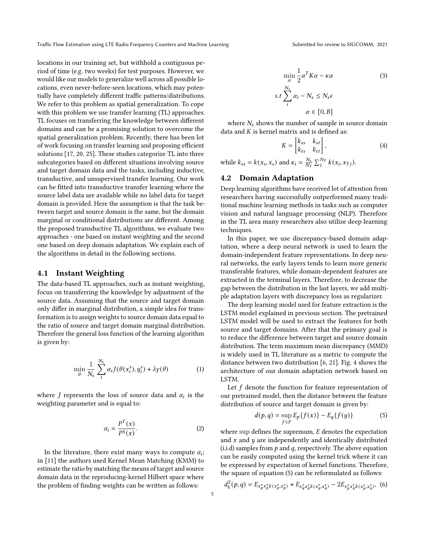Traffic Flow Estimation using LTE Radio Frequency Counters and Machine Learning Submitted for review to SIGCOMM, 2021

locations in our training set, but withhold a contiguous period of time (e.g. two weeks) for test purposes. However, we would like our models to generalize well across all possible locations, even never-before-seen locations, which may potentially have completely different traffic patterns/distributions. We refer to this problem as spatial generalization. To cope with this problem we use transfer learning (TL) approaches. TL focuses on transferring the knowledge between different domains and can be a promising solution to overcome the spatial generalization problem. Recently, there has been lot of work focusing on transfer learning and proposing efficient solutions [\[17,](#page-8-18) [20,](#page-8-19) [25\]](#page-8-20). These studies categorize TL into three subcategories based on different situations involving source and target domain data and the tasks, including inductive, transductive, and unsupervised transfer learning. Our work can be fitted into transductive transfer learning where the source label data are available while no label data for target domain is provided. Here the assumption is that the task between target and source domain is the same, but the domain marginal or conditional distributions are different. Among the proposed transductive TL algorithms, we evaluate two approaches - one based on instant weighting and the second one based on deep domain adaptation. We explain each of the algorithms in detail in the following sections.

#### 4.1 Instant Weighting

The data-based TL approaches, such as instant weighting, focus on transferring the knowledge by adjustment of the source data. Assuming that the source and target domain only differ in marginal distribution, a simple idea for transformation is to assign weights to source domain data equal to the ratio of source and target domain marginal distribution. Therefore the general loss function of the learning algorithm is given by:

$$
\min_{\theta} \frac{1}{N_s} \sum_{1}^{N_s} \alpha_i J(\theta(x_i^s), y_i^s) + \lambda \gamma(\theta) \tag{1}
$$

where *J* represents the loss of source data and  $\alpha_i$  is the weighting parameter and is equal to:

$$
\alpha_i = \frac{P^T(x)}{P^S(x)}.\tag{2}
$$

In the literature, there exist many ways to compute  $\alpha_i$ ; in [\[11\]](#page-8-21) the authors used Kernel Mean Matching (KMM) to estimate the ratio by matching the means of target and source domain data in the reproducing-kernel Hilbert space where the problem of finding weights can be written as follows:

$$
\min_{\alpha} \frac{1}{2} \alpha^T K \alpha - \kappa \alpha
$$
\n
$$
s.t \sum_{i}^{N_s} \alpha_i - N_s \le N_s \epsilon
$$
\n
$$
\alpha \in [0, B]
$$
\n(3)

where  $N_s$  shows the number of sample in source domain data and  $K$  is kernel matrix and is defined as:

$$
K = \begin{bmatrix} k_{ss} & k_{st} \\ k_{ts} & k_{tt} \end{bmatrix},
$$
 (4)

while  $k_{ss} = k(x_s, x_s)$  and  $\kappa_i = \frac{N_s}{N_T} \sum_i^{N_T} k(x_i, x_{Tj}).$ 

#### 4.2 Domain Adaptation

Deep learning algorithms have received lot of attention from researchers having successfully outperformed many traditional machine learning methods in tasks such as computer vision and natural language processing (NLP). Therefore in the TL area many researchers also utilize deep learning techniques.

In this paper, we use discrepancy-based domain adaptation, where a deep neural network is used to learn the domain-independent feature representations. In deep neural networks, the early layers tends to learn more generic transferable features, while domain-dependent features are extracted in the terminal layers. Therefore, to decrease the gap between the distribution in the last layers, we add multiple adaptation layers with discrepancy loss as regularizer.

The deep learning model used for feature extraction is the LSTM model explained in previous section. The pretrained LSTM model will be used to extract the features for both source and target domains. After that the primary goal is to reduce the difference between target and source domain distribution. The term maximum mean discrepancy (MMD) is widely used in TL literature as a metric to compute the distance between two distribution [\[6,](#page-8-22) [21\]](#page-8-23). Fig. [4](#page-5-1) shows the architecture of our domain adaptation network based on LSTM.

Let  $f$  denote the function for feature representation of our pretrained model, then the distance between the feature distribution of source and target domain is given by:

<span id="page-4-0"></span>
$$
d(p,q) = \sup_{f \in F} E_p \{f(x)\} - E_q \{f(y)\} \tag{5}
$$

where sup defines the supremum,  $E$  denotes the expectation and  $x$  and  $y$  are independently and identically distributed (i.i.d) samples from  $p$  and  $q$ , respectively. The above equation can be easily computed using the kernel trick where it can be expressed by expectation of kernel functions. Therefore, the square of equation [\(5\)](#page-4-0) can be reformulated as follows:

$$
d_k^2(p,q) = E_{x_p^s x_p^s k(x_p^s, x_p^s)} + E_{x_q^t x_q^t k(x_q^t, x_q^t)} - 2E_{x_p^s x_q^t k(x_p^s, x_q^t)},
$$
 (6)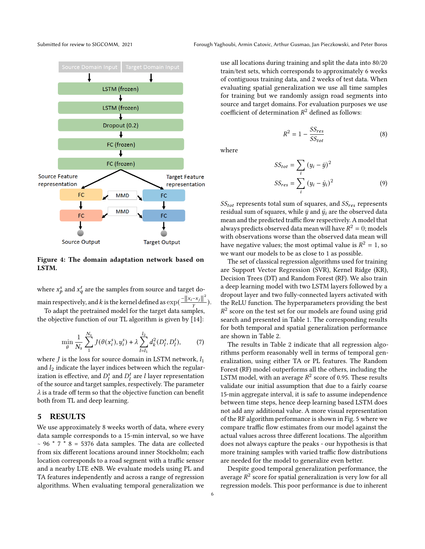<span id="page-5-1"></span>

Figure 4: The domain adaptation network based on LSTM.

where  $x_p^s$  and  $x_q^t$  are the samples from source and target domain respectively, and k is the kernel defined as  $\exp(\frac{-\|x_i-x_j\|^2}{\nu})$  $\frac{-x_j||}{v}$ ).

To adapt the pretrained model for the target data samples, the objective function of our TL algorithm is given by [\[14\]](#page-8-24):

$$
\min_{\theta} \frac{1}{N_s} \sum_{1}^{N_s} J(\theta(x_i^s), y_i^s) + \lambda \sum_{l=l_1}^{l_2} d_k^2(D_l^s, D_l^t), \tag{7}
$$

where *I* is the loss for source domain in LSTM network,  $l_1$ and  $l_2$  indicate the layer indices between which the regularization is effective, and  $D_l^s$  and  $D_l^t$  are l layer representation of the source and target samples, respectively. The parameter  $\lambda$  is a trade off term so that the objective function can benefit both from TL and deep learning.

#### <span id="page-5-0"></span>5 RESULTS

We use approximately 8 weeks worth of data, where every data sample corresponds to a 15-min interval, so we have  $~\sim$  96  $*$  7  $*$  8 = 5376 data samples. The data are collected from six different locations around inner Stockholm; each location corresponds to a road segment with a traffic sensor and a nearby LTE eNB. We evaluate models using PL and TA features independently and across a range of regression algorithms. When evaluating temporal generalization we

Submitted for review to SIGCOMM, 2021 Forough Yaghoubi, Armin Catovic, Arthur Gusmao, Jan Pieczkowski, and Peter Boros

use all locations during training and split the data into 80/20 train/test sets, which corresponds to approximately 6 weeks of contiguous training data, and 2 weeks of test data. When evaluating spatial generalization we use all time samples for training but we randomly assign road segments into source and target domains. For evaluation purposes we use coefficient of determination  $R^2$  defined as follows:

$$
R^2 = 1 - \frac{SS_{res}}{SS_{tot}}\tag{8}
$$

where

$$
SS_{tot} = \sum_{i} (y_i - \bar{y})^2
$$
  

$$
SS_{res} = \sum_{i} (y_i - \hat{y}_i)^2
$$
 (9)

 $SS_{tot}$  represents total sum of squares, and  $SS_{res}$  represents residual sum of squares, while  $\bar{y}$  and  $\hat{y}_i$  are the observed data mean and the predicted traffic flow respectively. A model that always predicts observed data mean will have  $R^2 = 0$ ; models with observations worse than the observed data mean will have negative values; the most optimal value is  $R^2 = 1$ , so we want our models to be as close to 1 as possible.

The set of classical regression algorithms used for training are Support Vector Regression (SVR), Kernel Ridge (KR), Decision Trees (DT) and Random Forest (RF). We also train a deep learning model with two LSTM layers followed by a dropout layer and two fully-connected layers activated with the ReLU function. The hyperparameters providing the best  $R^2$  score on the test set for our models are found using grid search and presented in Table [1.](#page-6-0) The corresponding results for both temporal and spatial generalization performance are shown in Table [2.](#page-6-1)

The results in Table [2](#page-6-1) indicate that all regression algorithms perform reasonably well in terms of temporal generalization, using either TA or PL features. The Random Forest (RF) model outperforms all the others, including the LSTM model, with an average  $R^2$  score of 0.95. These results validate our initial assumption that due to a fairly coarse 15-min aggregate interval, it is safe to assume independence between time steps, hence deep learning based LSTM does not add any additional value. A more visual representation of the RF algorithm performance is shown in Fig. [5](#page-6-2) where we compare traffic flow estimates from our model against the actual values across three different locations. The algorithm does not always capture the peaks - our hypothesis is that more training samples with varied traffic flow distributions are needed for the model to generalize even better.

Despite good temporal generalization performance, the average  $R^2$  score for spatial generalization is very low for all regression models. This poor performance is due to inherent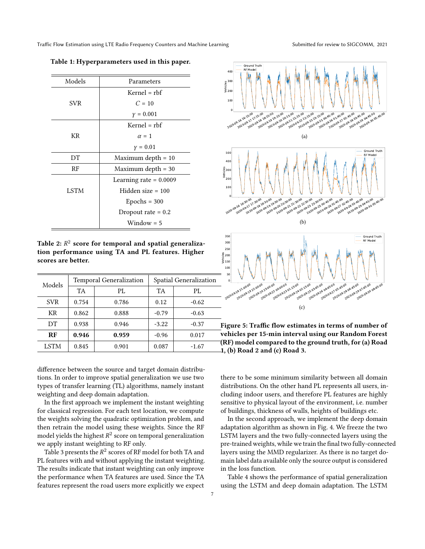|                                                                 | Models                                                                                                                   | Parameters                                                                                                                |                      | $\frac{8}{300}$ $\frac{10}{300}$ $200$ |                                                                                                                                                                                                                                                                                                                                                                               |  |
|-----------------------------------------------------------------|--------------------------------------------------------------------------------------------------------------------------|---------------------------------------------------------------------------------------------------------------------------|----------------------|----------------------------------------|-------------------------------------------------------------------------------------------------------------------------------------------------------------------------------------------------------------------------------------------------------------------------------------------------------------------------------------------------------------------------------|--|
|                                                                 |                                                                                                                          | $Kernel = rbf$                                                                                                            |                      |                                        |                                                                                                                                                                                                                                                                                                                                                                               |  |
|                                                                 | <b>SVR</b>                                                                                                               | $C = 10$                                                                                                                  |                      |                                        | 100                                                                                                                                                                                                                                                                                                                                                                           |  |
|                                                                 |                                                                                                                          |                                                                                                                           | $y = 0.001$          |                                        |                                                                                                                                                                                                                                                                                                                                                                               |  |
|                                                                 |                                                                                                                          |                                                                                                                           | $Kernel = rbf$       |                                        |                                                                                                                                                                                                                                                                                                                                                                               |  |
|                                                                 | KR                                                                                                                       | $\alpha = 1$                                                                                                              |                      |                                        | 2020.09.16.16:15:00<br>2020-09-17 17:15:00<br>2020-09-18 18                                                                                                                                                                                                                                                                                                                   |  |
|                                                                 |                                                                                                                          |                                                                                                                           | $y = 0.01$           |                                        |                                                                                                                                                                                                                                                                                                                                                                               |  |
|                                                                 | DT                                                                                                                       | Maximum depth $= 10$                                                                                                      |                      |                                        | 500<br>400                                                                                                                                                                                                                                                                                                                                                                    |  |
|                                                                 | RF                                                                                                                       |                                                                                                                           | Maximum depth $= 30$ |                                        |                                                                                                                                                                                                                                                                                                                                                                               |  |
|                                                                 |                                                                                                                          | Learning rate $= 0.0009$<br>Hidden size $= 100$                                                                           |                      |                                        | $\begin{array}{c}\n\text{S}\n\\ \text{S}\n\\ \text{S}\n\\ \text{S}\n\\ \text{S}\n\\ \text{S}\n\\ \text{S}\n\\ \text{S}\n\\ \text{S}\n\\ \text{S}\n\\ \text{S}\n\\ \text{S}\n\\ \text{S}\n\\ \text{S}\n\\ \text{S}\n\\ \text{S}\n\\ \text{S}\n\\ \text{S}\n\\ \text{S}\n\\ \text{S}\n\\ \text{S}\n\\ \text{S}\n\\ \text{S}\n\\ \text{S}\n\\ \text{S}\n\\ \text{S}\n\\ \text{S$ |  |
|                                                                 | <b>LSTM</b>                                                                                                              |                                                                                                                           |                      |                                        | 100                                                                                                                                                                                                                                                                                                                                                                           |  |
|                                                                 |                                                                                                                          |                                                                                                                           | $Epochs = 300$       |                                        |                                                                                                                                                                                                                                                                                                                                                                               |  |
|                                                                 |                                                                                                                          | Dropout rate $= 0.2$                                                                                                      |                      |                                        | 2020.09.16.16:30:00<br>2020-09-17 17:30:00<br>2020-09-18 18:                                                                                                                                                                                                                                                                                                                  |  |
|                                                                 |                                                                                                                          | $Window = 5$                                                                                                              |                      |                                        |                                                                                                                                                                                                                                                                                                                                                                               |  |
|                                                                 |                                                                                                                          |                                                                                                                           |                      |                                        | 350                                                                                                                                                                                                                                                                                                                                                                           |  |
| scores are better.                                              |                                                                                                                          | Table 2: $\mathbb{R}^2$ score for temporal and spatial generaliza-<br>tion performance using TA and PL features. Higher   |                      |                                        | 300<br>250<br>$rac{8}{9}$ 200<br>$\frac{2}{9}$ 150<br>100<br>50                                                                                                                                                                                                                                                                                                               |  |
| Models                                                          |                                                                                                                          | <b>Temporal Generalization</b><br>Spatial Generalization                                                                  |                      |                                        |                                                                                                                                                                                                                                                                                                                                                                               |  |
|                                                                 | <b>TA</b>                                                                                                                | PL                                                                                                                        | <b>TA</b>            | PL                                     | 2020.09.18.21.00.00<br>2020-09-19 22:00:00<br>2020-09-202                                                                                                                                                                                                                                                                                                                     |  |
| <b>SVR</b>                                                      | 0.754                                                                                                                    | 0.786                                                                                                                     | 0.12                 | $-0.62$                                |                                                                                                                                                                                                                                                                                                                                                                               |  |
| KR                                                              | 0.862                                                                                                                    | 0.888                                                                                                                     | $-0.79$              | $-0.63$                                |                                                                                                                                                                                                                                                                                                                                                                               |  |
| DT                                                              | 0.938                                                                                                                    | 0.946                                                                                                                     | $-3.22$              | $-0.37$                                | Figure 5: Traff                                                                                                                                                                                                                                                                                                                                                               |  |
| RF                                                              | 0.946                                                                                                                    | 0.959                                                                                                                     | $-0.96$              | 0.017                                  | vehicles per 15                                                                                                                                                                                                                                                                                                                                                               |  |
| <b>LSTM</b>                                                     | 0.845                                                                                                                    | 0.901                                                                                                                     | 0.087                | $-1.67$                                | (RF) model cor                                                                                                                                                                                                                                                                                                                                                                |  |
|                                                                 |                                                                                                                          | difference between the source and target domain distribu-<br>tions. In order to improve spatial generalization we use two |                      |                                        | 1, (b) Road 2 a<br>there to be som                                                                                                                                                                                                                                                                                                                                            |  |
|                                                                 |                                                                                                                          | types of transfer learning (TL) algorithms, namely instant<br>weighting and deep domain adaptation.                       |                      |                                        | distributions. O<br>cluding indoor                                                                                                                                                                                                                                                                                                                                            |  |
|                                                                 |                                                                                                                          |                                                                                                                           |                      |                                        | sensitive to phy                                                                                                                                                                                                                                                                                                                                                              |  |
|                                                                 | In the first approach we implement the instant weighting<br>for classical regression. For each test location, we compute |                                                                                                                           |                      |                                        |                                                                                                                                                                                                                                                                                                                                                                               |  |
| the weights solving the quadratic optimization problem, and     | In the second<br>adaptation algo                                                                                         |                                                                                                                           |                      |                                        |                                                                                                                                                                                                                                                                                                                                                                               |  |
|                                                                 | then retrain the model using these weights. Since the RF                                                                 |                                                                                                                           |                      |                                        |                                                                                                                                                                                                                                                                                                                                                                               |  |
| model yields the highest $R^2$ score on temporal generalization |                                                                                                                          |                                                                                                                           |                      |                                        | LSTM layers an<br>pre-trained weig                                                                                                                                                                                                                                                                                                                                            |  |
|                                                                 | we apply instant weighting to RF only.<br>Table 3 presents the $R^2$ scores of RF model for both TA and                  |                                                                                                                           |                      |                                        |                                                                                                                                                                                                                                                                                                                                                                               |  |
|                                                                 | PL features with and without applying the instant weighting.                                                             |                                                                                                                           |                      |                                        | layers using the<br>main label data a                                                                                                                                                                                                                                                                                                                                         |  |
| The results indicate that instant weighting can only improve    |                                                                                                                          |                                                                                                                           |                      |                                        | in the loss funct                                                                                                                                                                                                                                                                                                                                                             |  |
|                                                                 |                                                                                                                          | the performance when TA features are used. Since the TA                                                                   |                      |                                        | Table 4 show                                                                                                                                                                                                                                                                                                                                                                  |  |
|                                                                 |                                                                                                                          | features represent the road users more explicitly we expect                                                               |                      |                                        | using the LSTM                                                                                                                                                                                                                                                                                                                                                                |  |

<span id="page-6-0"></span>Table 1: Hyperparameters used in this paper.

<span id="page-6-1"></span>Table 2:  $\mathbb{R}^2$  score for temporal and spatial generalization performance using TA and PL features. Higher scores are better.

| Models     | <b>Temporal Generalization</b> |       | Spatial Generalization |         |  |
|------------|--------------------------------|-------|------------------------|---------|--|
|            | TA                             | PL.   | <b>TA</b>              | PL      |  |
| <b>SVR</b> | 0.754                          | 0.786 | 0.12                   | $-0.62$ |  |
| KR         | 0.862                          | 0.888 | $-0.79$                | $-0.63$ |  |
| DT         | 0.938                          | 0.946 | $-3.22$                | $-0.37$ |  |
| RF         | 0.946                          | 0.959 | $-0.96$                | 0.017   |  |
| LSTM       | 0.845                          | 0.901 | 0.087                  | $-1.67$ |  |

<span id="page-6-3"></span><span id="page-6-2"></span>

<span id="page-6-5"></span><span id="page-6-4"></span>Figure 5: Traffic flow estimates in terms of number of vehicles per 15-min interval using our Random Forest  $\overline{\phantom{a}}$  (RF) model compared to the ground truth, for [\(a\)](#page-6-3) Road 1, [\(b\)](#page-6-4) Road 2 and [\(c\)](#page-6-5) Road 3.

there to be some minimum similarity between all domain distributions. On the other hand PL represents all users, including indoor users, and therefore PL features are highly sensitive to physical layout of the environment, i.e. number of buildings, thickness of walls, heights of buildings etc.

In the second approach, we implement the deep domain adaptation algorithm as shown in Fig. [4.](#page-5-1) We freeze the two LSTM layers and the two fully-connected layers using the pre-trained weights, while we train the final two fully-connected layers using the MMD regularizer. As there is no target domain label data available only the source output is considered in the loss function.

Table [4](#page-7-3) shows the performance of spatial generalization using the LSTM and deep domain adaptation. The LSTM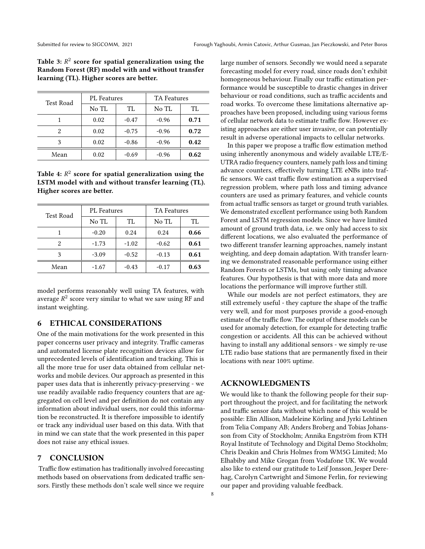<span id="page-7-2"></span>Table 3:  $R^2$  score for spatial generalization using the Random Forest (RF) model with and without transfer learning (TL). Higher scores are better.

| Test Road | <b>PL</b> Features |         | <b>TA Features</b> |      |
|-----------|--------------------|---------|--------------------|------|
|           | No TL              | TL      | No TL              | TL   |
|           | 0.02               | $-0.47$ | $-0.96$            | 0.71 |
| 2         | 0.02               | $-0.75$ | $-0.96$            | 0.72 |
| 3         | 0.02               | $-0.86$ | $-0.96$            | 0.42 |
| Mean      | 0.02               | $-0.69$ | $-0.96$            | 0.62 |

<span id="page-7-3"></span>Table 4:  $R^2$  score for spatial generalization using the LSTM model with and without transfer learning (TL). Higher scores are better.

| Test Road | PL Features |         | <b>TA Features</b> |      |
|-----------|-------------|---------|--------------------|------|
|           | No TL       | TL      | No TL              | TL   |
|           | $-0.20$     | 0.24    | 0.24               | 0.66 |
| 2         | $-1.73$     | $-1.02$ | $-0.62$            | 0.61 |
| 3         | $-3.09$     | $-0.52$ | $-0.13$            | 0.61 |
| Mean      | $-1.67$     | $-0.43$ | $-0.17$            | 0.63 |

model performs reasonably well using TA features, with average  $R^2$  score very similar to what we saw using RF and instant weighting.

#### <span id="page-7-0"></span>6 ETHICAL CONSIDERATIONS

One of the main motivations for the work presented in this paper concerns user privacy and integrity. Traffic cameras and automated license plate recognition devices allow for unprecedented levels of identification and tracking. This is all the more true for user data obtained from cellular networks and mobile devices. Our approach as presented in this paper uses data that is inherently privacy-preserving - we use readily available radio frequency counters that are aggregated on cell level and per definition do not contain any information about individual users, nor could this information be reconstructed. It is therefore impossible to identify or track any individual user based on this data. With that in mind we can state that the work presented in this paper does not raise any ethical issues.

# <span id="page-7-1"></span>7 CONCLUSION

Traffic flow estimation has traditionally involved forecasting methods based on observations from dedicated traffic sensors. Firstly these methods don't scale well since we require

large number of sensors. Secondly we would need a separate forecasting model for every road, since roads don't exhibit homogeneous behaviour. Finally our traffic estimation performance would be susceptible to drastic changes in driver behaviour or road conditions, such as traffic accidents and road works. To overcome these limitations alternative approaches have been proposed, including using various forms of cellular network data to estimate traffic flow. However existing approaches are either user invasive, or can potentially result in adverse operational impacts to cellular networks.

In this paper we propose a traffic flow estimation method using inherently anonymous and widely available LTE/E-UTRA radio frequency counters, namely path loss and timing advance counters, effectively turning LTE eNBs into traffic sensors. We cast traffic flow estimation as a supervised regression problem, where path loss and timing advance counters are used as primary features, and vehicle counts from actual traffic sensors as target or ground truth variables. We demonstrated excellent performance using both Random Forest and LSTM regression models. Since we have limited amount of ground truth data, i.e. we only had access to six different locations, we also evaluated the performance of two different transfer learning approaches, namely instant weighting, and deep domain adaptation. With transfer learning we demonstrated reasonable performance using either Random Forests or LSTMs, but using only timing advance features. Our hypothesis is that with more data and more locations the performance will improve further still.

While our models are not perfect estimators, they are still extremely useful - they capture the shape of the traffic very well, and for most purposes provide a good-enough estimate of the traffic flow. The output of these models can be used for anomaly detection, for example for detecting traffic congestion or accidents. All this can be achieved without having to install any additional sensors - we simply re-use LTE radio base stations that are permanently fixed in their locations with near 100% uptime.

#### ACKNOWLEDGMENTS

We would like to thank the following people for their support throughout the project, and for facilitating the network and traffic sensor data without which none of this would be possible: Elin Allison, Madeleine Körling and Jyrki Lehtinen from Telia Company AB; Anders Broberg and Tobias Johansson from City of Stockholm; Annika Engström from KTH Royal Institute of Technology and Digital Demo Stockholm; Chris Deakin and Chris Holmes from WM5G Limited; Mo Elhabiby and Mike Grogan from Vodafone UK. We would also like to extend our gratitude to Leif Jonsson, Jesper Derehag, Carolyn Cartwright and Simone Ferlin, for reviewing our paper and providing valuable feedback.